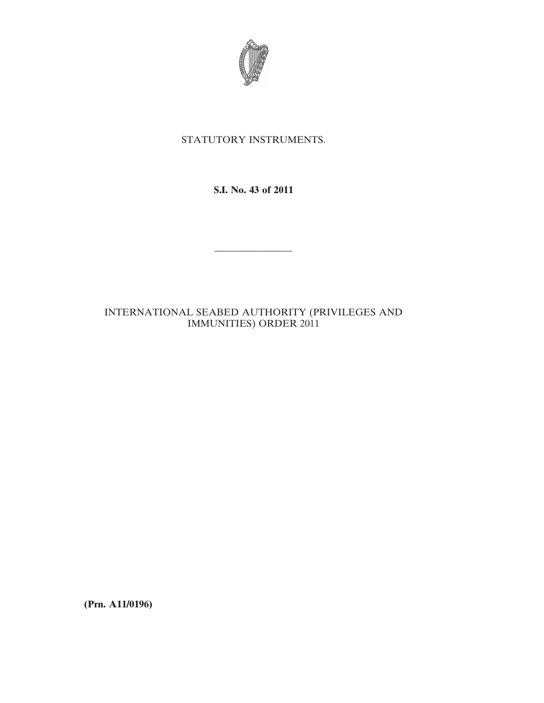

# STATUTORY INSTRUMENTS.

**S.I. No. 43 of 2011**

————————

# INTERNATIONAL SEABED AUTHORITY (PRIVILEGES AND IMMUNITIES) ORDER 2011

**(Prn. A11/0196)**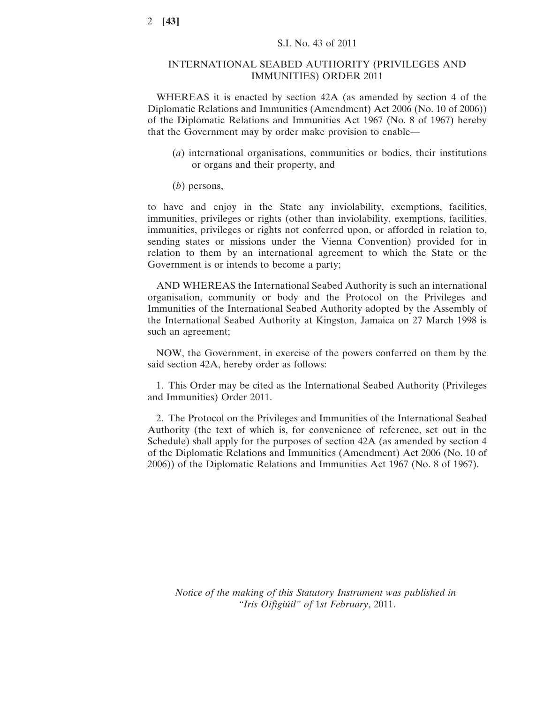### INTERNATIONAL SEABED AUTHORITY (PRIVILEGES AND IMMUNITIES) ORDER 2011

WHEREAS it is enacted by section 42A (as amended by section 4 of the Diplomatic Relations and Immunities (Amendment) Act 2006 (No. 10 of 2006)) of the Diplomatic Relations and Immunities Act 1967 (No. 8 of 1967) hereby that the Government may by order make provision to enable—

- (*a*) international organisations, communities or bodies, their institutions or organs and their property, and
- (*b*) persons,

to have and enjoy in the State any inviolability, exemptions, facilities, immunities, privileges or rights (other than inviolability, exemptions, facilities, immunities, privileges or rights not conferred upon, or afforded in relation to, sending states or missions under the Vienna Convention) provided for in relation to them by an international agreement to which the State or the Government is or intends to become a party;

AND WHEREAS the International Seabed Authority is such an international organisation, community or body and the Protocol on the Privileges and Immunities of the International Seabed Authority adopted by the Assembly of the International Seabed Authority at Kingston, Jamaica on 27 March 1998 is such an agreement;

NOW, the Government, in exercise of the powers conferred on them by the said section 42A, hereby order as follows:

1. This Order may be cited as the International Seabed Authority (Privileges and Immunities) Order 2011.

2. The Protocol on the Privileges and Immunities of the International Seabed Authority (the text of which is, for convenience of reference, set out in the Schedule) shall apply for the purposes of section 42A (as amended by section 4 of the Diplomatic Relations and Immunities (Amendment) Act 2006 (No. 10 of 2006)) of the Diplomatic Relations and Immunities Act 1967 (No. 8 of 1967).

*Notice of the making of this Statutory Instrument was published in "Iris Oifigiúil" of* 1*st February*, 2011.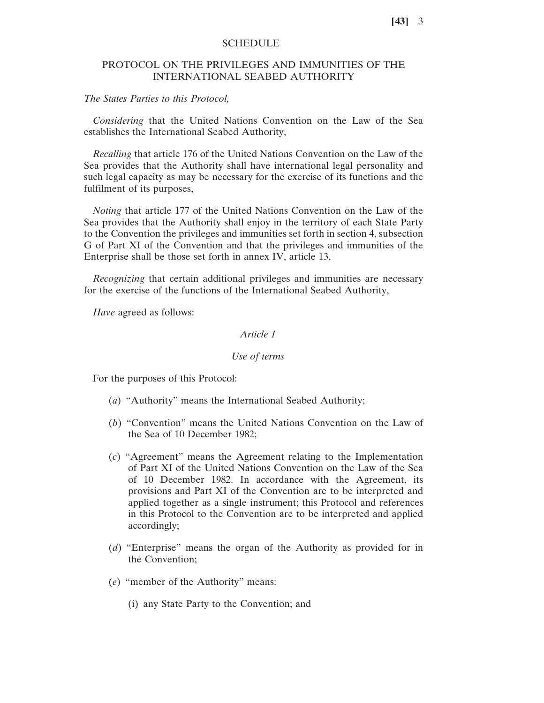# SCHEDULE

# PROTOCOL ON THE PRIVILEGES AND IMMUNITIES OF THE INTERNATIONAL SEABED AUTHORITY

#### *The States Parties to this Protocol,*

*Considering* that the United Nations Convention on the Law of the Sea establishes the International Seabed Authority,

*Recalling* that article 176 of the United Nations Convention on the Law of the Sea provides that the Authority shall have international legal personality and such legal capacity as may be necessary for the exercise of its functions and the fulfilment of its purposes,

*Noting* that article 177 of the United Nations Convention on the Law of the Sea provides that the Authority shall enjoy in the territory of each State Party to the Convention the privileges and immunities set forth in section 4, subsection G of Part XI of the Convention and that the privileges and immunities of the Enterprise shall be those set forth in annex IV, article 13,

*Recognizing* that certain additional privileges and immunities are necessary for the exercise of the functions of the International Seabed Authority,

*Have* agreed as follows:

## *Article 1*

### *Use of terms*

For the purposes of this Protocol:

- (*a*) "Authority" means the International Seabed Authority;
- (*b*) "Convention" means the United Nations Convention on the Law of the Sea of 10 December 1982;
- (*c*) "Agreement" means the Agreement relating to the Implementation of Part XI of the United Nations Convention on the Law of the Sea of 10 December 1982. In accordance with the Agreement, its provisions and Part XI of the Convention are to be interpreted and applied together as a single instrument; this Protocol and references in this Protocol to the Convention are to be interpreted and applied accordingly;
- (*d*) "Enterprise" means the organ of the Authority as provided for in the Convention;
- (*e*) "member of the Authority" means:
	- (i) any State Party to the Convention; and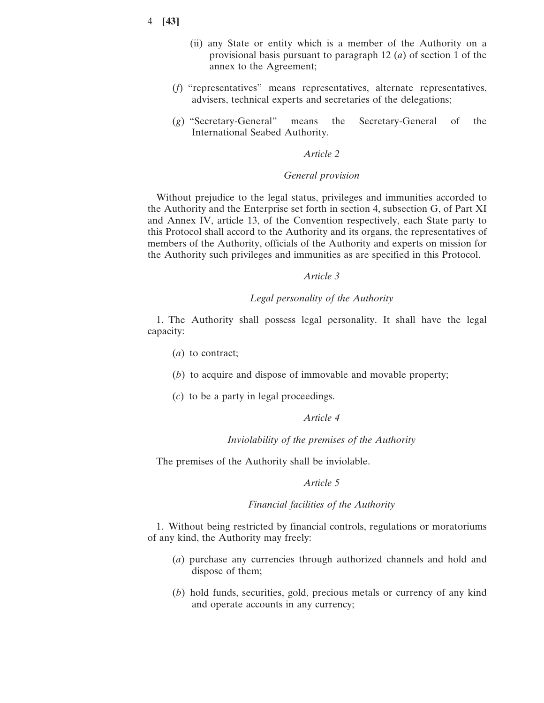- 4 **[43]**
- (ii) any State or entity which is a member of the Authority on a provisional basis pursuant to paragraph 12 (*a*) of section 1 of the annex to the Agreement;
- (*f*) "representatives" means representatives, alternate representatives, advisers, technical experts and secretaries of the delegations;
- (*g*) "Secretary-General" means the Secretary-General of the International Seabed Authority.

#### *Article 2*

# *General provision*

Without prejudice to the legal status, privileges and immunities accorded to the Authority and the Enterprise set forth in section 4, subsection G, of Part XI and Annex IV, article 13, of the Convention respectively, each State party to this Protocol shall accord to the Authority and its organs, the representatives of members of the Authority, officials of the Authority and experts on mission for the Authority such privileges and immunities as are specified in this Protocol.

#### *Article 3*

# *Legal personality of the Authority*

1. The Authority shall possess legal personality. It shall have the legal capacity:

- (*a*) to contract;
- (*b*) to acquire and dispose of immovable and movable property;
- (*c*) to be a party in legal proceedings.

# *Article 4*

#### *Inviolability of the premises of the Authority*

The premises of the Authority shall be inviolable.

# *Article 5*

#### *Financial facilities of the Authority*

1. Without being restricted by financial controls, regulations or moratoriums of any kind, the Authority may freely:

- (*a*) purchase any currencies through authorized channels and hold and dispose of them;
- (*b*) hold funds, securities, gold, precious metals or currency of any kind and operate accounts in any currency;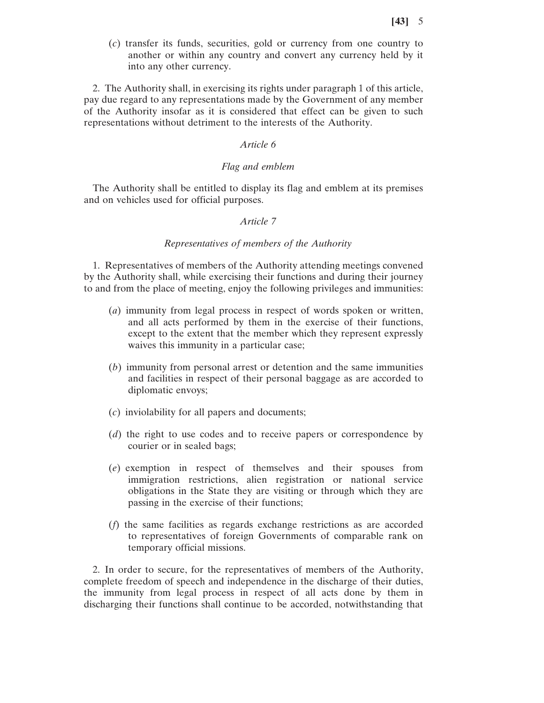(*c*) transfer its funds, securities, gold or currency from one country to another or within any country and convert any currency held by it into any other currency.

2. The Authority shall, in exercising its rights under paragraph 1 of this article, pay due regard to any representations made by the Government of any member of the Authority insofar as it is considered that effect can be given to such representations without detriment to the interests of the Authority.

### *Article 6*

# *Flag and emblem*

The Authority shall be entitled to display its flag and emblem at its premises and on vehicles used for official purposes.

# *Article 7*

# *Representatives of members of the Authority*

1. Representatives of members of the Authority attending meetings convened by the Authority shall, while exercising their functions and during their journey to and from the place of meeting, enjoy the following privileges and immunities:

- (*a*) immunity from legal process in respect of words spoken or written, and all acts performed by them in the exercise of their functions, except to the extent that the member which they represent expressly waives this immunity in a particular case;
- (*b*) immunity from personal arrest or detention and the same immunities and facilities in respect of their personal baggage as are accorded to diplomatic envoys;
- (*c*) inviolability for all papers and documents;
- (*d*) the right to use codes and to receive papers or correspondence by courier or in sealed bags;
- (*e*) exemption in respect of themselves and their spouses from immigration restrictions, alien registration or national service obligations in the State they are visiting or through which they are passing in the exercise of their functions;
- (*f*) the same facilities as regards exchange restrictions as are accorded to representatives of foreign Governments of comparable rank on temporary official missions.

2. In order to secure, for the representatives of members of the Authority, complete freedom of speech and independence in the discharge of their duties, the immunity from legal process in respect of all acts done by them in discharging their functions shall continue to be accorded, notwithstanding that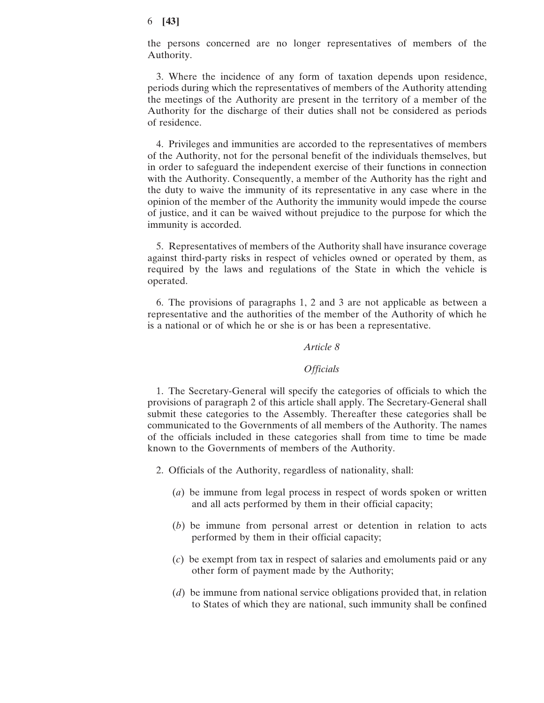the persons concerned are no longer representatives of members of the Authority.

3. Where the incidence of any form of taxation depends upon residence, periods during which the representatives of members of the Authority attending the meetings of the Authority are present in the territory of a member of the Authority for the discharge of their duties shall not be considered as periods of residence.

4. Privileges and immunities are accorded to the representatives of members of the Authority, not for the personal benefit of the individuals themselves, but in order to safeguard the independent exercise of their functions in connection with the Authority. Consequently, a member of the Authority has the right and the duty to waive the immunity of its representative in any case where in the opinion of the member of the Authority the immunity would impede the course of justice, and it can be waived without prejudice to the purpose for which the immunity is accorded.

5. Representatives of members of the Authority shall have insurance coverage against third-party risks in respect of vehicles owned or operated by them, as required by the laws and regulations of the State in which the vehicle is operated.

6. The provisions of paragraphs 1, 2 and 3 are not applicable as between a representative and the authorities of the member of the Authority of which he is a national or of which he or she is or has been a representative.

#### *Article 8*

### *Officials*

1. The Secretary-General will specify the categories of officials to which the provisions of paragraph 2 of this article shall apply. The Secretary-General shall submit these categories to the Assembly. Thereafter these categories shall be communicated to the Governments of all members of the Authority. The names of the officials included in these categories shall from time to time be made known to the Governments of members of the Authority.

2. Officials of the Authority, regardless of nationality, shall:

- (*a*) be immune from legal process in respect of words spoken or written and all acts performed by them in their official capacity;
- (*b*) be immune from personal arrest or detention in relation to acts performed by them in their official capacity;
- (*c*) be exempt from tax in respect of salaries and emoluments paid or any other form of payment made by the Authority;
- (*d*) be immune from national service obligations provided that, in relation to States of which they are national, such immunity shall be confined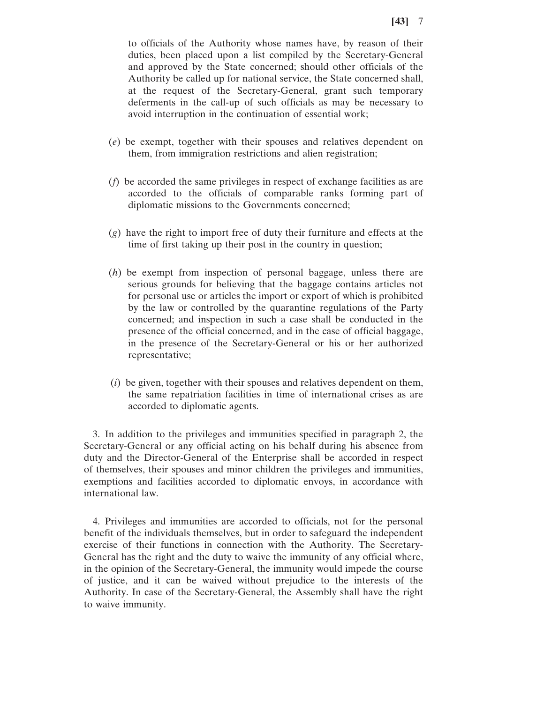to officials of the Authority whose names have, by reason of their duties, been placed upon a list compiled by the Secretary-General and approved by the State concerned; should other officials of the Authority be called up for national service, the State concerned shall, at the request of the Secretary-General, grant such temporary deferments in the call-up of such officials as may be necessary to avoid interruption in the continuation of essential work;

- (*e*) be exempt, together with their spouses and relatives dependent on them, from immigration restrictions and alien registration;
- (*f*) be accorded the same privileges in respect of exchange facilities as are accorded to the officials of comparable ranks forming part of diplomatic missions to the Governments concerned;
- (*g*) have the right to import free of duty their furniture and effects at the time of first taking up their post in the country in question;
- (*h*) be exempt from inspection of personal baggage, unless there are serious grounds for believing that the baggage contains articles not for personal use or articles the import or export of which is prohibited by the law or controlled by the quarantine regulations of the Party concerned; and inspection in such a case shall be conducted in the presence of the official concerned, and in the case of official baggage, in the presence of the Secretary-General or his or her authorized representative;
- (*i*) be given, together with their spouses and relatives dependent on them, the same repatriation facilities in time of international crises as are accorded to diplomatic agents.

3. In addition to the privileges and immunities specified in paragraph 2, the Secretary-General or any official acting on his behalf during his absence from duty and the Director-General of the Enterprise shall be accorded in respect of themselves, their spouses and minor children the privileges and immunities, exemptions and facilities accorded to diplomatic envoys, in accordance with international law.

4. Privileges and immunities are accorded to officials, not for the personal benefit of the individuals themselves, but in order to safeguard the independent exercise of their functions in connection with the Authority. The Secretary-General has the right and the duty to waive the immunity of any official where, in the opinion of the Secretary-General, the immunity would impede the course of justice, and it can be waived without prejudice to the interests of the Authority. In case of the Secretary-General, the Assembly shall have the right to waive immunity.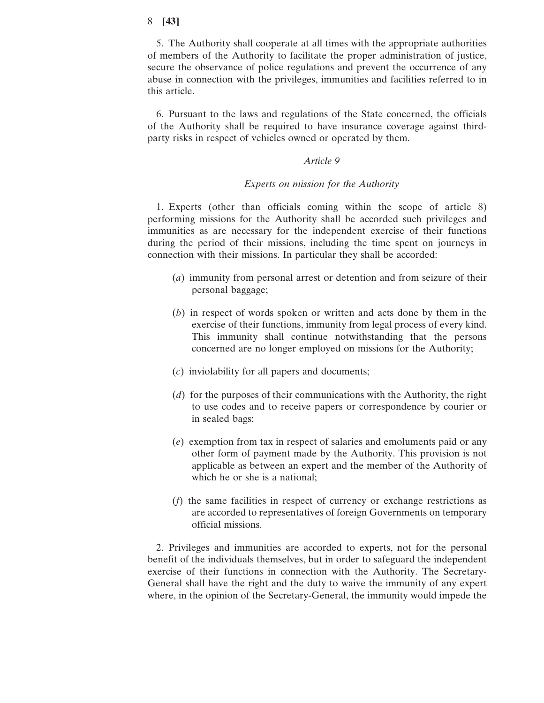5. The Authority shall cooperate at all times with the appropriate authorities of members of the Authority to facilitate the proper administration of justice, secure the observance of police regulations and prevent the occurrence of any abuse in connection with the privileges, immunities and facilities referred to in this article.

6. Pursuant to the laws and regulations of the State concerned, the officials of the Authority shall be required to have insurance coverage against thirdparty risks in respect of vehicles owned or operated by them.

#### *Article 9*

#### *Experts on mission for the Authority*

1. Experts (other than officials coming within the scope of article 8) performing missions for the Authority shall be accorded such privileges and immunities as are necessary for the independent exercise of their functions during the period of their missions, including the time spent on journeys in connection with their missions. In particular they shall be accorded:

- (*a*) immunity from personal arrest or detention and from seizure of their personal baggage;
- (*b*) in respect of words spoken or written and acts done by them in the exercise of their functions, immunity from legal process of every kind. This immunity shall continue notwithstanding that the persons concerned are no longer employed on missions for the Authority;
- (*c*) inviolability for all papers and documents;
- (*d*) for the purposes of their communications with the Authority, the right to use codes and to receive papers or correspondence by courier or in sealed bags;
- (*e*) exemption from tax in respect of salaries and emoluments paid or any other form of payment made by the Authority. This provision is not applicable as between an expert and the member of the Authority of which he or she is a national;
- (*f*) the same facilities in respect of currency or exchange restrictions as are accorded to representatives of foreign Governments on temporary official missions.

2. Privileges and immunities are accorded to experts, not for the personal benefit of the individuals themselves, but in order to safeguard the independent exercise of their functions in connection with the Authority. The Secretary-General shall have the right and the duty to waive the immunity of any expert where, in the opinion of the Secretary-General, the immunity would impede the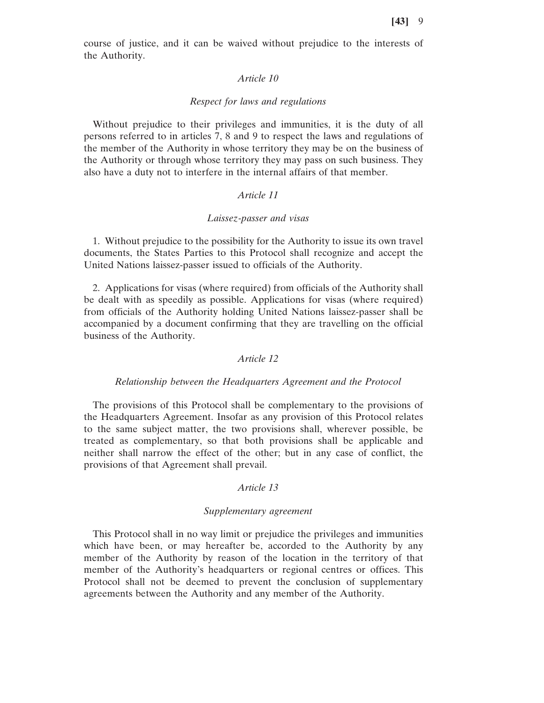course of justice, and it can be waived without prejudice to the interests of the Authority.

# *Article 10*

#### *Respect for laws and regulations*

Without prejudice to their privileges and immunities, it is the duty of all persons referred to in articles 7, 8 and 9 to respect the laws and regulations of the member of the Authority in whose territory they may be on the business of the Authority or through whose territory they may pass on such business. They also have a duty not to interfere in the internal affairs of that member.

### *Article 11*

#### *Laissez-passer and visas*

1. Without prejudice to the possibility for the Authority to issue its own travel documents, the States Parties to this Protocol shall recognize and accept the United Nations laissez-passer issued to officials of the Authority.

2. Applications for visas (where required) from officials of the Authority shall be dealt with as speedily as possible. Applications for visas (where required) from officials of the Authority holding United Nations laissez-passer shall be accompanied by a document confirming that they are travelling on the official business of the Authority.

#### *Article 12*

#### *Relationship between the Headquarters Agreement and the Protocol*

The provisions of this Protocol shall be complementary to the provisions of the Headquarters Agreement. Insofar as any provision of this Protocol relates to the same subject matter, the two provisions shall, wherever possible, be treated as complementary, so that both provisions shall be applicable and neither shall narrow the effect of the other; but in any case of conflict, the provisions of that Agreement shall prevail.

### *Article 13*

#### *Supplementary agreement*

This Protocol shall in no way limit or prejudice the privileges and immunities which have been, or may hereafter be, accorded to the Authority by any member of the Authority by reason of the location in the territory of that member of the Authority's headquarters or regional centres or offices. This Protocol shall not be deemed to prevent the conclusion of supplementary agreements between the Authority and any member of the Authority.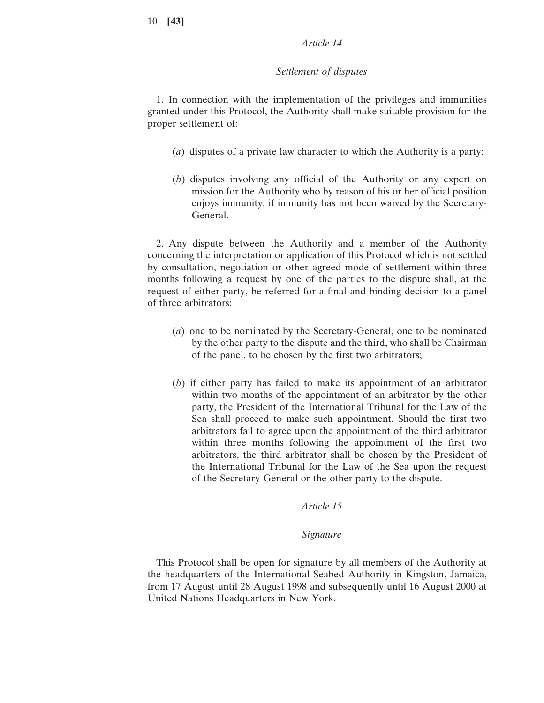# *Article 14*

# *Settlement of disputes*

1. In connection with the implementation of the privileges and immunities granted under this Protocol, the Authority shall make suitable provision for the proper settlement of:

- (*a*) disputes of a private law character to which the Authority is a party;
- (*b*) disputes involving any official of the Authority or any expert on mission for the Authority who by reason of his or her official position enjoys immunity, if immunity has not been waived by the Secretary-General.

2. Any dispute between the Authority and a member of the Authority concerning the interpretation or application of this Protocol which is not settled by consultation, negotiation or other agreed mode of settlement within three months following a request by one of the parties to the dispute shall, at the request of either party, be referred for a final and binding decision to a panel of three arbitrators:

- (*a*) one to be nominated by the Secretary-General, one to be nominated by the other party to the dispute and the third, who shall be Chairman of the panel, to be chosen by the first two arbitrators;
- (*b*) if either party has failed to make its appointment of an arbitrator within two months of the appointment of an arbitrator by the other party, the President of the International Tribunal for the Law of the Sea shall proceed to make such appointment. Should the first two arbitrators fail to agree upon the appointment of the third arbitrator within three months following the appointment of the first two arbitrators, the third arbitrator shall be chosen by the President of the International Tribunal for the Law of the Sea upon the request of the Secretary-General or the other party to the dispute.

# *Article 15*

### *Signature*

This Protocol shall be open for signature by all members of the Authority at the headquarters of the International Seabed Authority in Kingston, Jamaica, from 17 August until 28 August 1998 and subsequently until 16 August 2000 at United Nations Headquarters in New York.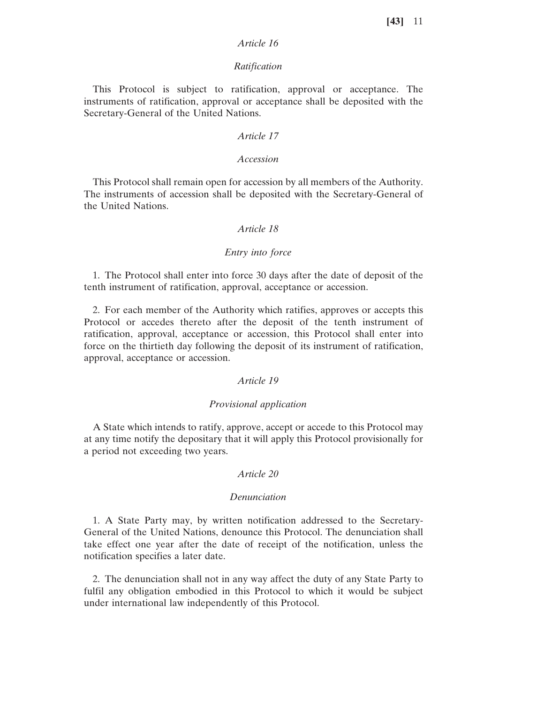# *Article 16*

#### *Ratification*

This Protocol is subject to ratification, approval or acceptance. The instruments of ratification, approval or acceptance shall be deposited with the Secretary-General of the United Nations.

### *Article 17*

#### *Accession*

This Protocol shall remain open for accession by all members of the Authority. The instruments of accession shall be deposited with the Secretary-General of the United Nations.

### *Article 18*

#### *Entry into force*

1. The Protocol shall enter into force 30 days after the date of deposit of the tenth instrument of ratification, approval, acceptance or accession.

2. For each member of the Authority which ratifies, approves or accepts this Protocol or accedes thereto after the deposit of the tenth instrument of ratification, approval, acceptance or accession, this Protocol shall enter into force on the thirtieth day following the deposit of its instrument of ratification, approval, acceptance or accession.

### *Article 19*

#### *Provisional application*

A State which intends to ratify, approve, accept or accede to this Protocol may at any time notify the depositary that it will apply this Protocol provisionally for a period not exceeding two years.

# *Article 20*

# *Denunciation*

1. A State Party may, by written notification addressed to the Secretary-General of the United Nations, denounce this Protocol. The denunciation shall take effect one year after the date of receipt of the notification, unless the notification specifies a later date.

2. The denunciation shall not in any way affect the duty of any State Party to fulfil any obligation embodied in this Protocol to which it would be subject under international law independently of this Protocol.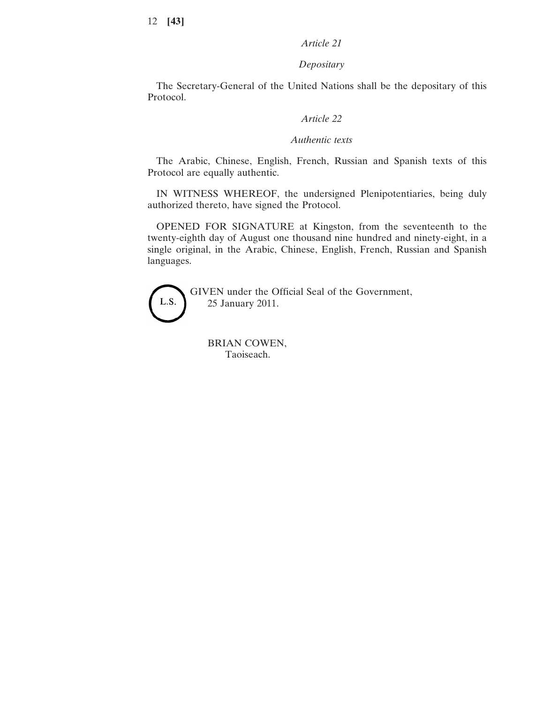# *Article 21*

# *Depositary*

The Secretary-General of the United Nations shall be the depositary of this Protocol.

# *Article 22*

#### *Authentic texts*

The Arabic, Chinese, English, French, Russian and Spanish texts of this Protocol are equally authentic.

IN WITNESS WHEREOF, the undersigned Plenipotentiaries, being duly authorized thereto, have signed the Protocol.

OPENED FOR SIGNATURE at Kingston, from the seventeenth to the twenty-eighth day of August one thousand nine hundred and ninety-eight, in a single original, in the Arabic, Chinese, English, French, Russian and Spanish languages.



GIVEN under the Official Seal of the Government, 25 January 2011.

BRIAN COWEN, Taoiseach.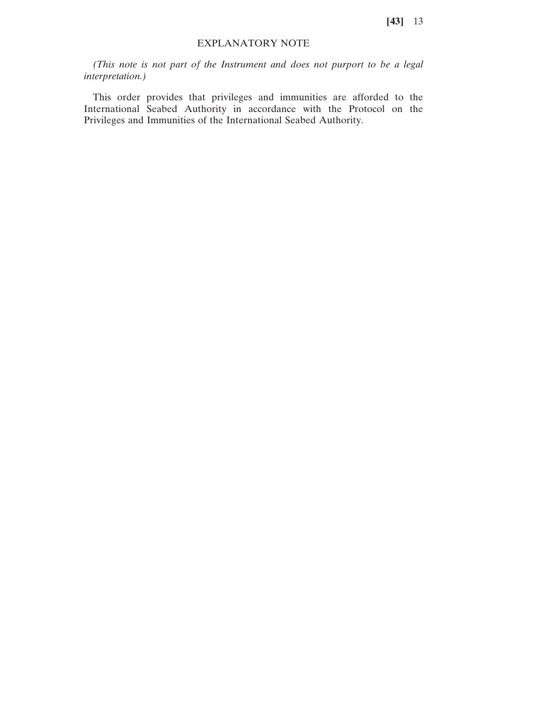# EXPLANATORY NOTE

*(This note is not part of the Instrument and does not purport to be a legal interpretation.)*

This order provides that privileges and immunities are afforded to the International Seabed Authority in accordance with the Protocol on the Privileges and Immunities of the International Seabed Authority.